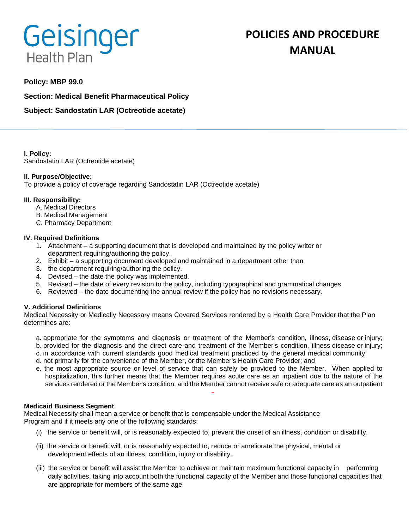# Geisinger **Health Plan**

# **Policy: MBP 99.0**

**Section: Medical Benefit Pharmaceutical Policy**

**Subject: Sandostatin LAR (Octreotide acetate)**

**I. Policy:** Sandostatin LAR (Octreotide acetate)

## **II. Purpose/Objective:**

To provide a policy of coverage regarding Sandostatin LAR (Octreotide acetate)

## **III. Responsibility:**

- A. Medical Directors
- B. Medical Management
- C. Pharmacy Department

## **IV. Required Definitions**

- 1. Attachment a supporting document that is developed and maintained by the policy writer or department requiring/authoring the policy.
- 2. Exhibit a supporting document developed and maintained in a department other than
- 3. the department requiring/authoring the policy.
- 4. Devised the date the policy was implemented.
- 5. Revised the date of every revision to the policy, including typographical and grammatical changes.
- 6. Reviewed the date documenting the annual review if the policy has no revisions necessary.

## **V. Additional Definitions**

Medical Necessity or Medically Necessary means Covered Services rendered by a Health Care Provider that the Plan determines are:

- a. appropriate for the symptoms and diagnosis or treatment of the Member's condition, illness, disease or injury; b. provided for the diagnosis and the direct care and treatment of the Member's condition, illness disease or injury;
- c. in accordance with current standards good medical treatment practiced by the general medical community;
- d. not primarily for the convenience of the Member, or the Member's Health Care Provider; and
- e. the most appropriate source or level of service that can safely be provided to the Member. When applied to hospitalization, this further means that the Member requires acute care as an inpatient due to the nature of the services rendered or the Member's condition, and the Member cannot receive safe or adequate care as an outpatient

#### **Medicaid Business Segment**

Medical Necessity shall mean a service or benefit that is compensable under the Medical Assistance Program and if it meets any one of the following standards:

- (i) the service or benefit will, or is reasonably expected to, prevent the onset of an illness, condition or disability.
- (ii) the service or benefit will, or is reasonably expected to, reduce or ameliorate the physical, mental or development effects of an illness, condition, injury or disability.
- (iii) the service or benefit will assist the Member to achieve or maintain maximum functional capacity in performing daily activities, taking into account both the functional capacity of the Member and those functional capacities that are appropriate for members of the same age